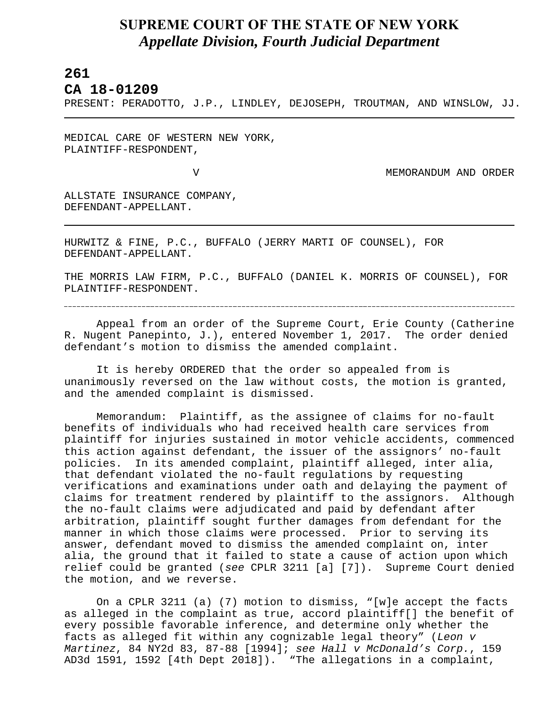## **SUPREME COURT OF THE STATE OF NEW YORK** *Appellate Division, Fourth Judicial Department*

## **261**

L

## **CA 18-01209**

PRESENT: PERADOTTO, J.P., LINDLEY, DEJOSEPH, TROUTMAN, AND WINSLOW, JJ.

MEDICAL CARE OF WESTERN NEW YORK, PLAINTIFF-RESPONDENT,

V MEMORANDUM AND ORDER

ALLSTATE INSURANCE COMPANY, DEFENDANT-APPELLANT.

HURWITZ & FINE, P.C., BUFFALO (JERRY MARTI OF COUNSEL), FOR DEFENDANT-APPELLANT.

THE MORRIS LAW FIRM, P.C., BUFFALO (DANIEL K. MORRIS OF COUNSEL), FOR PLAINTIFF-RESPONDENT.

Appeal from an order of the Supreme Court, Erie County (Catherine R. Nugent Panepinto, J.), entered November 1, 2017. The order denied defendant's motion to dismiss the amended complaint.

It is hereby ORDERED that the order so appealed from is unanimously reversed on the law without costs, the motion is granted, and the amended complaint is dismissed.

Memorandum: Plaintiff, as the assignee of claims for no-fault benefits of individuals who had received health care services from plaintiff for injuries sustained in motor vehicle accidents, commenced this action against defendant, the issuer of the assignors' no-fault policies. In its amended complaint, plaintiff alleged, inter alia, that defendant violated the no-fault regulations by requesting verifications and examinations under oath and delaying the payment of claims for treatment rendered by plaintiff to the assignors. Although the no-fault claims were adjudicated and paid by defendant after arbitration, plaintiff sought further damages from defendant for the manner in which those claims were processed. Prior to serving its answer, defendant moved to dismiss the amended complaint on, inter alia, the ground that it failed to state a cause of action upon which relief could be granted (*see* CPLR 3211 [a] [7]). Supreme Court denied the motion, and we reverse.

On a CPLR 3211 (a) (7) motion to dismiss, "[w]e accept the facts as alleged in the complaint as true, accord plaintiff[] the benefit of every possible favorable inference, and determine only whether the facts as alleged fit within any cognizable legal theory" (*Leon v Martinez*, 84 NY2d 83, 87-88 [1994]; *see Hall v McDonald's Corp.*, 159 AD3d 1591, 1592 [4th Dept 2018]). "The allegations in a complaint,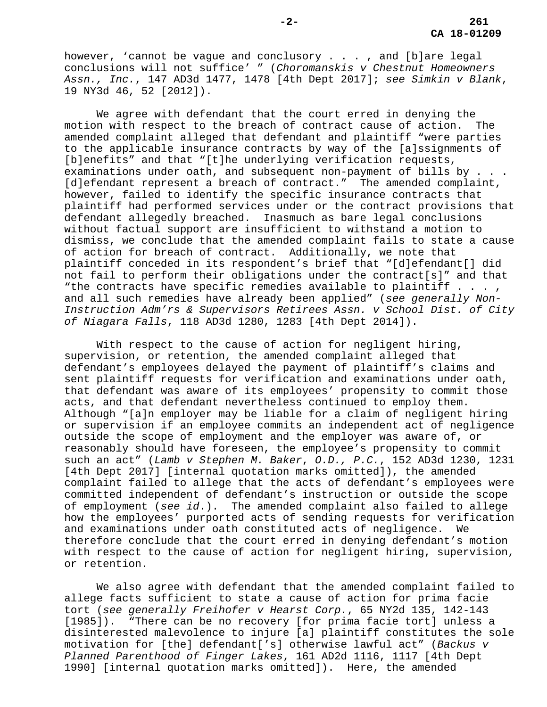however, 'cannot be vague and conclusory . . . , and [b]are legal conclusions will not suffice' " (*Choromanskis v Chestnut Homeowners Assn., Inc.*, 147 AD3d 1477, 1478 [4th Dept 2017]; *see Simkin v Blank*, 19 NY3d 46, 52 [2012]).

We agree with defendant that the court erred in denying the motion with respect to the breach of contract cause of action. The amended complaint alleged that defendant and plaintiff "were parties to the applicable insurance contracts by way of the [a]ssignments of [b]enefits" and that "[t]he underlying verification requests, examinations under oath, and subsequent non-payment of bills by . . . [d]efendant represent a breach of contract." The amended complaint, however, failed to identify the specific insurance contracts that plaintiff had performed services under or the contract provisions that defendant allegedly breached. Inasmuch as bare legal conclusions without factual support are insufficient to withstand a motion to dismiss, we conclude that the amended complaint fails to state a cause of action for breach of contract. Additionally, we note that plaintiff conceded in its respondent's brief that "[d]efendant[] did not fail to perform their obligations under the contract[s]" and that "the contracts have specific remedies available to plaintiff  $\dots$ , and all such remedies have already been applied" (*see generally Non-Instruction Adm'rs & Supervisors Retirees Assn. v School Dist. of City of Niagara Falls*, 118 AD3d 1280, 1283 [4th Dept 2014]).

With respect to the cause of action for negligent hiring, supervision, or retention, the amended complaint alleged that defendant's employees delayed the payment of plaintiff's claims and sent plaintiff requests for verification and examinations under oath, that defendant was aware of its employees' propensity to commit those acts, and that defendant nevertheless continued to employ them. Although "[a]n employer may be liable for a claim of negligent hiring or supervision if an employee commits an independent act of negligence outside the scope of employment and the employer was aware of, or reasonably should have foreseen, the employee's propensity to commit such an act" (*Lamb v Stephen M. Baker*, *O.D., P.C.*, 152 AD3d 1230, 1231 [4th Dept 2017] [internal quotation marks omitted]), the amended complaint failed to allege that the acts of defendant's employees were committed independent of defendant's instruction or outside the scope of employment (*see id*.). The amended complaint also failed to allege how the employees' purported acts of sending requests for verification and examinations under oath constituted acts of negligence. We therefore conclude that the court erred in denying defendant's motion with respect to the cause of action for negligent hiring, supervision, or retention.

We also agree with defendant that the amended complaint failed to allege facts sufficient to state a cause of action for prima facie tort (*see generally Freihofer v Hearst Corp.*, 65 NY2d 135, 142-143 [1985]). "There can be no recovery [for prima facie tort] unless a disinterested malevolence to injure [a] plaintiff constitutes the sole motivation for [the] defendant['s] otherwise lawful act" (*Backus v Planned Parenthood of Finger Lakes*, 161 AD2d 1116, 1117 [4th Dept 1990] [internal quotation marks omitted]). Here, the amended